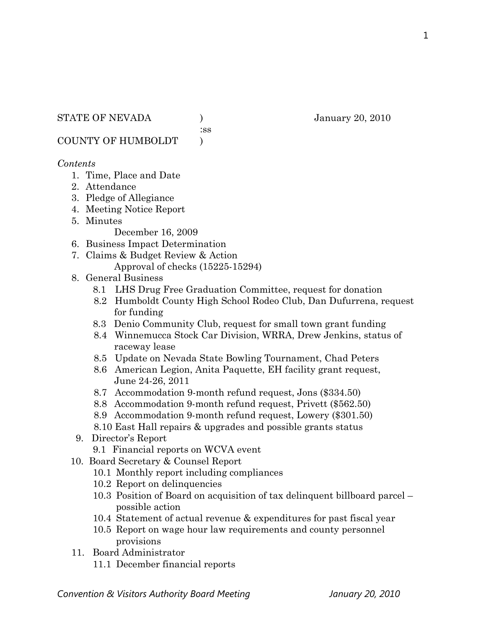:ss

COUNTY OF HUMBOLDT )

#### *Contents*

- 1. Time, Place and Date
- 2. Attendance
- 3. Pledge of Allegiance
- 4. Meeting Notice Report
- 5. Minutes

December 16, 2009

- 6. Business Impact Determination
- 7. Claims & Budget Review & Action Approval of checks (15225-15294)
- 8. General Business
	- 8.1 LHS Drug Free Graduation Committee, request for donation
	- 8.2 Humboldt County High School Rodeo Club, Dan Dufurrena, request for funding
	- 8.3 Denio Community Club, request for small town grant funding
	- 8.4 Winnemucca Stock Car Division, WRRA, Drew Jenkins, status of raceway lease
	- 8.5 Update on Nevada State Bowling Tournament, Chad Peters
	- 8.6 American Legion, Anita Paquette, EH facility grant request, June 24-26, 2011
	- 8.7 Accommodation 9-month refund request, Jons (\$334.50)
	- 8.8 Accommodation 9-month refund request, Privett (\$562.50)
	- 8.9 Accommodation 9-month refund request, Lowery (\$301.50)
	- 8.10 East Hall repairs & upgrades and possible grants status
- 9. Director's Report
	- 9.1 Financial reports on WCVA event
- 10. Board Secretary & Counsel Report
	- 10.1 Monthly report including compliances
	- 10.2 Report on delinquencies
	- 10.3 Position of Board on acquisition of tax delinquent billboard parcel possible action
	- 10.4 Statement of actual revenue & expenditures for past fiscal year
	- 10.5 Report on wage hour law requirements and county personnel provisions
- 11. Board Administrator
	- 11.1 December financial reports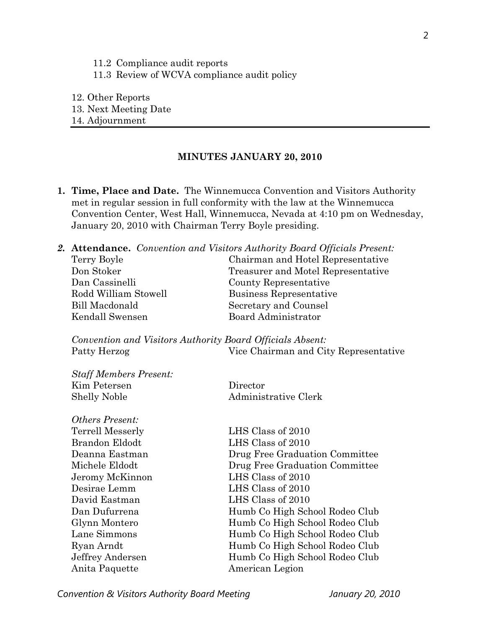11.2 Compliance audit reports

11.3 Review of WCVA compliance audit policy

12. Other Reports

13. Next Meeting Date

14. Adjournment

#### **MINUTES JANUARY 20, 2010**

**1. Time, Place and Date.** The Winnemucca Convention and Visitors Authority met in regular session in full conformity with the law at the Winnemucca Convention Center, West Hall, Winnemucca, Nevada at 4:10 pm on Wednesday, January 20, 2010 with Chairman Terry Boyle presiding.

|                      | <b>2. Attendance.</b> Convention and Visitors Authority Board Officials Present: |
|----------------------|----------------------------------------------------------------------------------|
| Terry Boyle          | Chairman and Hotel Representative                                                |
| Don Stoker           | Treasurer and Motel Representative                                               |
| Dan Cassinelli       | County Representative                                                            |
| Rodd William Stowell | Business Representative                                                          |
| Bill Macdonald       | Secretary and Counsel                                                            |
| Kendall Swensen      | Board Administrator                                                              |

*Convention and Visitors Authority Board Officials Absent:*  Patty Herzog Vice Chairman and City Representative

| <b>Staff Members Present:</b> |                      |
|-------------------------------|----------------------|
| Kim Petersen                  | Director             |
| <b>Shelly Noble</b>           | Administrative Clerk |

| <b>Others Present:</b>  |                                |
|-------------------------|--------------------------------|
| <b>Terrell Messerly</b> | LHS Class of 2010              |
| Brandon Eldodt          | LHS Class of 2010              |
| Deanna Eastman          | Drug Free Graduation Committee |
| Michele Eldodt          | Drug Free Graduation Committee |
| Jeromy McKinnon         | LHS Class of 2010              |
| Desirae Lemm            | LHS Class of 2010              |
| David Eastman           | LHS Class of 2010              |
| Dan Dufurrena           | Humb Co High School Rodeo Club |
| Glynn Montero           | Humb Co High School Rodeo Club |
| Lane Simmons            | Humb Co High School Rodeo Club |
| Ryan Arndt              | Humb Co High School Rodeo Club |
| Jeffrey Andersen        | Humb Co High School Rodeo Club |
| Anita Paquette          | American Legion                |

*Convention & Visitors Authority Board Meeting January 20, 2010*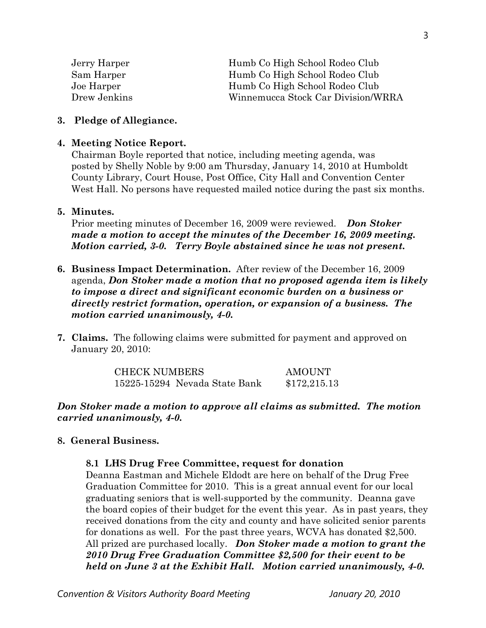| Jerry Harper | Humb Co High School Rodeo Club     |
|--------------|------------------------------------|
| Sam Harper   | Humb Co High School Rodeo Club     |
| Joe Harper   | Humb Co High School Rodeo Club     |
| Drew Jenkins | Winnemucca Stock Car Division/WRRA |

#### **3. Pledge of Allegiance.**

#### **4. Meeting Notice Report.**

Chairman Boyle reported that notice, including meeting agenda, was posted by Shelly Noble by 9:00 am Thursday, January 14, 2010 at Humboldt County Library, Court House, Post Office, City Hall and Convention Center West Hall. No persons have requested mailed notice during the past six months.

#### **5. Minutes.**

Prior meeting minutes of December 16, 2009 were reviewed. *Don Stoker made a motion to accept the minutes of the December 16, 2009 meeting. Motion carried, 3-0. Terry Boyle abstained since he was not present.* 

- **6. Business Impact Determination.** After review of the December 16, 2009 agenda, *Don Stoker made a motion that no proposed agenda item is likely to impose a direct and significant economic burden on a business or directly restrict formation, operation, or expansion of a business. The motion carried unanimously, 4-0.*
- **7. Claims.** The following claims were submitted for payment and approved on January 20, 2010:

| <b>CHECK NUMBERS</b>          | AMOUNT       |
|-------------------------------|--------------|
| 15225-15294 Nevada State Bank | \$172,215.13 |

#### *Don Stoker made a motion to approve all claims as submitted. The motion carried unanimously, 4-0.*

#### **8. General Business.**

#### **8.1 LHS Drug Free Committee, request for donation**

Deanna Eastman and Michele Eldodt are here on behalf of the Drug Free Graduation Committee for 2010. This is a great annual event for our local graduating seniors that is well-supported by the community. Deanna gave the board copies of their budget for the event this year. As in past years, they received donations from the city and county and have solicited senior parents for donations as well. For the past three years, WCVA has donated \$2,500. All prized are purchased locally. *Don Stoker made a motion to grant the 2010 Drug Free Graduation Committee \$2,500 for their event to be held on June 3 at the Exhibit Hall. Motion carried unanimously, 4-0.*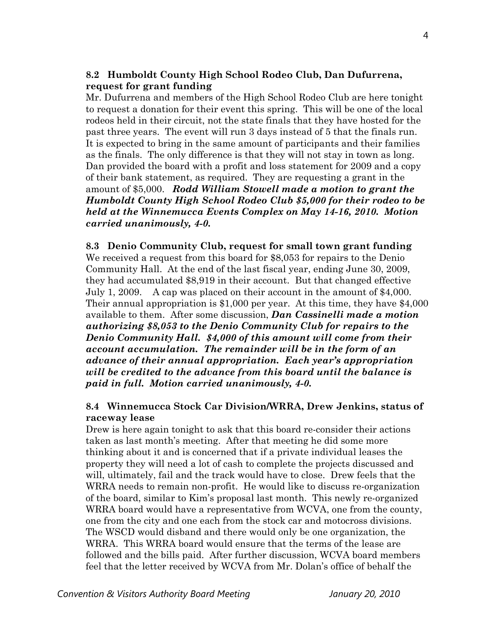## **8.2 Humboldt County High School Rodeo Club, Dan Dufurrena, request for grant funding**

Mr. Dufurrena and members of the High School Rodeo Club are here tonight to request a donation for their event this spring. This will be one of the local rodeos held in their circuit, not the state finals that they have hosted for the past three years. The event will run 3 days instead of 5 that the finals run. It is expected to bring in the same amount of participants and their families as the finals. The only difference is that they will not stay in town as long. Dan provided the board with a profit and loss statement for 2009 and a copy of their bank statement, as required. They are requesting a grant in the amount of \$5,000. *Rodd William Stowell made a motion to grant the Humboldt County High School Rodeo Club \$5,000 for their rodeo to be held at the Winnemucca Events Complex on May 14-16, 2010. Motion carried unanimously, 4-0.* 

**8.3 Denio Community Club, request for small town grant funding**  We received a request from this board for \$8,053 for repairs to the Denio Community Hall. At the end of the last fiscal year, ending June 30, 2009, they had accumulated \$8,919 in their account. But that changed effective July 1, 2009. A cap was placed on their account in the amount of \$4,000. Their annual appropriation is \$1,000 per year. At this time, they have \$4,000 available to them. After some discussion, *Dan Cassinelli made a motion authorizing \$8,053 to the Denio Community Club for repairs to the Denio Community Hall. \$4,000 of this amount will come from their account accumulation. The remainder will be in the form of an advance of their annual appropriation. Each year's appropriation will be credited to the advance from this board until the balance is paid in full. Motion carried unanimously, 4-0.* 

# **8.4 Winnemucca Stock Car Division/WRRA, Drew Jenkins, status of raceway lease**

Drew is here again tonight to ask that this board re-consider their actions taken as last month's meeting. After that meeting he did some more thinking about it and is concerned that if a private individual leases the property they will need a lot of cash to complete the projects discussed and will, ultimately, fail and the track would have to close. Drew feels that the WRRA needs to remain non-profit. He would like to discuss re-organization of the board, similar to Kim's proposal last month. This newly re-organized WRRA board would have a representative from WCVA, one from the county, one from the city and one each from the stock car and motocross divisions. The WSCD would disband and there would only be one organization, the WRRA. This WRRA board would ensure that the terms of the lease are followed and the bills paid. After further discussion, WCVA board members feel that the letter received by WCVA from Mr. Dolan's office of behalf the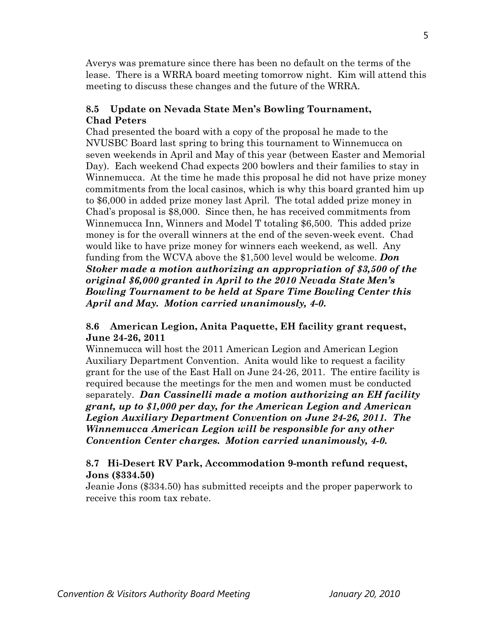Averys was premature since there has been no default on the terms of the lease. There is a WRRA board meeting tomorrow night. Kim will attend this meeting to discuss these changes and the future of the WRRA.

### **8.5 Update on Nevada State Men's Bowling Tournament, Chad Peters**

Chad presented the board with a copy of the proposal he made to the NVUSBC Board last spring to bring this tournament to Winnemucca on seven weekends in April and May of this year (between Easter and Memorial Day). Each weekend Chad expects 200 bowlers and their families to stay in Winnemucca. At the time he made this proposal he did not have prize money commitments from the local casinos, which is why this board granted him up to \$6,000 in added prize money last April. The total added prize money in Chad's proposal is \$8,000. Since then, he has received commitments from Winnemucca Inn, Winners and Model T totaling \$6,500. This added prize money is for the overall winners at the end of the seven-week event. Chad would like to have prize money for winners each weekend, as well. Any funding from the WCVA above the \$1,500 level would be welcome. *Don Stoker made a motion authorizing an appropriation of \$3,500 of the original \$6,000 granted in April to the 2010 Nevada State Men's Bowling Tournament to be held at Spare Time Bowling Center this April and May. Motion carried unanimously, 4-0.* 

## **8.6 American Legion, Anita Paquette, EH facility grant request, June 24-26, 2011**

Winnemucca will host the 2011 American Legion and American Legion Auxiliary Department Convention. Anita would like to request a facility grant for the use of the East Hall on June 24-26, 2011. The entire facility is required because the meetings for the men and women must be conducted separately. *Dan Cassinelli made a motion authorizing an EH facility grant, up to \$1,000 per day, for the American Legion and American Legion Auxiliary Department Convention on June 24-26, 2011. The Winnemucca American Legion will be responsible for any other Convention Center charges. Motion carried unanimously, 4-0.* 

## **8.7 Hi-Desert RV Park, Accommodation 9-month refund request, Jons (\$334.50)**

Jeanie Jons (\$334.50) has submitted receipts and the proper paperwork to receive this room tax rebate.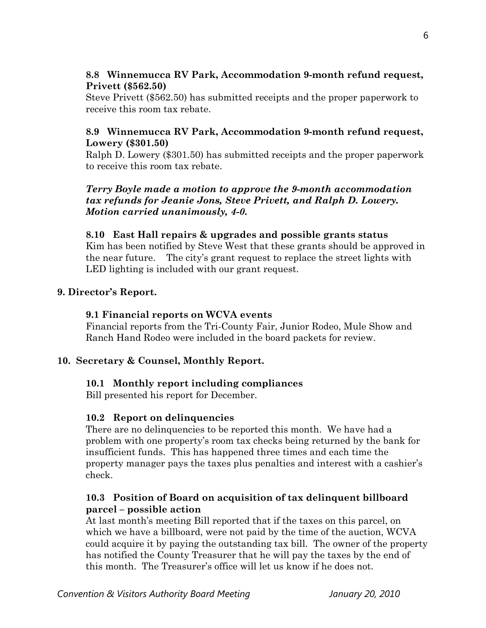## **8.8 Winnemucca RV Park, Accommodation 9-month refund request, Privett (\$562.50)**

Steve Privett (\$562.50) has submitted receipts and the proper paperwork to receive this room tax rebate.

# **8.9 Winnemucca RV Park, Accommodation 9-month refund request, Lowery (\$301.50)**

Ralph D. Lowery (\$301.50) has submitted receipts and the proper paperwork to receive this room tax rebate.

# *Terry Boyle made a motion to approve the 9-month accommodation tax refunds for Jeanie Jons, Steve Privett, and Ralph D. Lowery. Motion carried unanimously, 4-0.*

# **8.10 East Hall repairs & upgrades and possible grants status**

Kim has been notified by Steve West that these grants should be approved in the near future. The city's grant request to replace the street lights with LED lighting is included with our grant request.

# **9. Director's Report.**

### **9.1 Financial reports on WCVA events**

Financial reports from the Tri-County Fair, Junior Rodeo, Mule Show and Ranch Hand Rodeo were included in the board packets for review.

# **10. Secretary & Counsel, Monthly Report.**

# **10.1 Monthly report including compliances**

Bill presented his report for December.

# **10.2 Report on delinquencies**

There are no delinquencies to be reported this month. We have had a problem with one property's room tax checks being returned by the bank for insufficient funds. This has happened three times and each time the property manager pays the taxes plus penalties and interest with a cashier's check.

## **10.3 Position of Board on acquisition of tax delinquent billboard parcel – possible action**

At last month's meeting Bill reported that if the taxes on this parcel, on which we have a billboard, were not paid by the time of the auction, WCVA could acquire it by paying the outstanding tax bill. The owner of the property has notified the County Treasurer that he will pay the taxes by the end of this month. The Treasurer's office will let us know if he does not.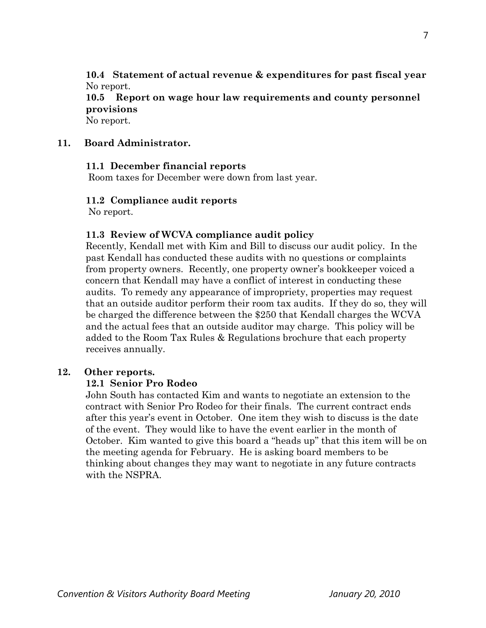**10.4 Statement of actual revenue & expenditures for past fiscal year** No report.

**10.5 Report on wage hour law requirements and county personnel provisions** 

No report.

#### **11. Board Administrator.**

## **11.1 December financial reports**

Room taxes for December were down from last year.

## **11.2 Compliance audit reports**

No report.

## **11.3 Review of WCVA compliance audit policy**

Recently, Kendall met with Kim and Bill to discuss our audit policy. In the past Kendall has conducted these audits with no questions or complaints from property owners. Recently, one property owner's bookkeeper voiced a concern that Kendall may have a conflict of interest in conducting these audits. To remedy any appearance of impropriety, properties may request that an outside auditor perform their room tax audits. If they do so, they will be charged the difference between the \$250 that Kendall charges the WCVA and the actual fees that an outside auditor may charge. This policy will be added to the Room Tax Rules & Regulations brochure that each property receives annually.

#### **12. Other reports.**

# **12.1 Senior Pro Rodeo**

John South has contacted Kim and wants to negotiate an extension to the contract with Senior Pro Rodeo for their finals. The current contract ends after this year's event in October. One item they wish to discuss is the date of the event. They would like to have the event earlier in the month of October. Kim wanted to give this board a "heads up" that this item will be on the meeting agenda for February. He is asking board members to be thinking about changes they may want to negotiate in any future contracts with the NSPRA.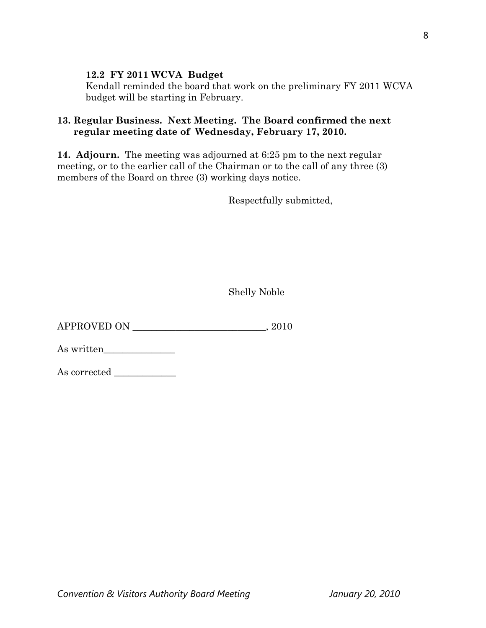## **12.2 FY 2011 WCVA Budget**

Kendall reminded the board that work on the preliminary FY 2011 WCVA budget will be starting in February.

## **13. Regular Business. Next Meeting. The Board confirmed the next regular meeting date of Wednesday, February 17, 2010.**

**14. Adjourn.** The meeting was adjourned at 6:25 pm to the next regular meeting, or to the earlier call of the Chairman or to the call of any three (3) members of the Board on three (3) working days notice.

Respectfully submitted,

Shelly Noble

APPROVED ON \_\_\_\_\_\_\_\_\_\_\_\_\_\_\_\_\_\_\_\_\_\_\_\_\_\_\_\_, 2010

As written\_\_\_\_\_\_\_\_\_\_\_\_\_\_\_

As corrected \_\_\_\_\_\_\_\_\_\_\_\_\_